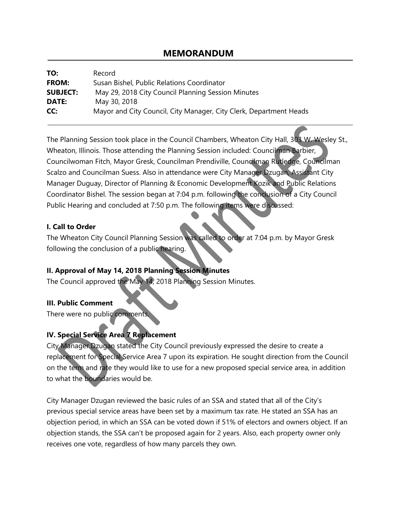# **MEMORANDUM**

| TO:             | Record                                                             |
|-----------------|--------------------------------------------------------------------|
| <b>FROM:</b>    | Susan Bishel, Public Relations Coordinator                         |
| <b>SUBJECT:</b> | May 29, 2018 City Council Planning Session Minutes                 |
| DATE:           | May 30, 2018                                                       |
| CC:             | Mayor and City Council, City Manager, City Clerk, Department Heads |

The Planning Session took place in the Council Chambers, Wheaton City Hall, 303 W. Wesley St., Wheaton, Illinois. Those attending the Planning Session included: Councilman Barbier, Councilwoman Fitch, Mayor Gresk, Councilman Prendiville, Councilman Rutledge, Councilman Scalzo and Councilman Suess. Also in attendance were City Manager Dzugan, Assistant City Manager Duguay, Director of Planning & Economic Development Kozik and Public Relations Coordinator Bishel. The session began at 7:04 p.m. following the conclusion of a City Council Public Hearing and concluded at 7:50 p.m. The following items were discussed:

### **I. Call to Order**

The Wheaton City Council Planning Session was called to order at 7:04 p.m. by Mayor Gresk following the conclusion of a public hearing.

### **II. Approval of May 14, 2018 Planning Session Minutes**

The Council approved the May 14, 2018 Planning Session Minutes.

### **III. Public Comment**

There were no public comments

## **IV. Special Service Area 7 Replacement**

City Manager Dzugan stated the City Council previously expressed the desire to create a replacement for Special Service Area 7 upon its expiration. He sought direction from the Council on the term and rate they would like to use for a new proposed special service area, in addition to what the boundaries would be.

City Manager Dzugan reviewed the basic rules of an SSA and stated that all of the City's previous special service areas have been set by a maximum tax rate. He stated an SSA has an objection period, in which an SSA can be voted down if 51% of electors and owners object. If an objection stands, the SSA can't be proposed again for 2 years. Also, each property owner only receives one vote, regardless of how many parcels they own.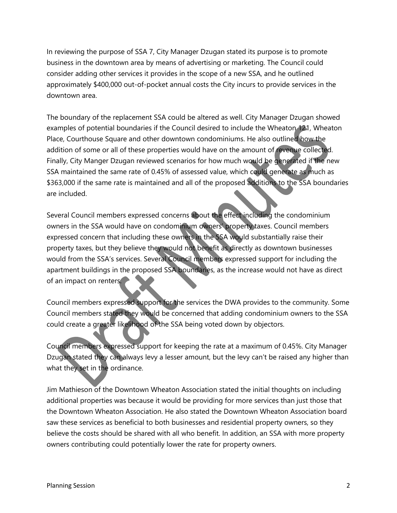In reviewing the purpose of SSA 7, City Manager Dzugan stated its purpose is to promote business in the downtown area by means of advertising or marketing. The Council could consider adding other services it provides in the scope of a new SSA, and he outlined approximately \$400,000 out-of-pocket annual costs the City incurs to provide services in the downtown area.

The boundary of the replacement SSA could be altered as well. City Manager Dzugan showed examples of potential boundaries if the Council desired to include the Wheaton 121, Wheaton Place, Courthouse Square and other downtown condominiums. He also outlined how the addition of some or all of these properties would have on the amount of revenue collected. Finally, City Manger Dzugan reviewed scenarios for how much would be generated if the new SSA maintained the same rate of 0.45% of assessed value, which could generate as much as \$363,000 if the same rate is maintained and all of the proposed additions to the SSA boundaries are included.

Several Council members expressed concerns about the effect including the condominium owners in the SSA would have on condominium owners' property taxes. Council members expressed concern that including these owners in the SSA would substantially raise their property taxes, but they believe they would not benefit as directly as downtown businesses would from the SSA's services. Several Council members expressed support for including the apartment buildings in the proposed SSA boundaries, as the increase would not have as direct of an impact on renters.

Council members expressed support for the services the DWA provides to the community. Some Council members stated they would be concerned that adding condominium owners to the SSA could create a greater likelihood of the SSA being voted down by objectors.

Council members expressed support for keeping the rate at a maximum of 0.45%. City Manager Dzugan stated they can always levy a lesser amount, but the levy can't be raised any higher than what they set in the ordinance.

Jim Mathieson of the Downtown Wheaton Association stated the initial thoughts on including additional properties was because it would be providing for more services than just those that the Downtown Wheaton Association. He also stated the Downtown Wheaton Association board saw these services as beneficial to both businesses and residential property owners, so they believe the costs should be shared with all who benefit. In addition, an SSA with more property owners contributing could potentially lower the rate for property owners.